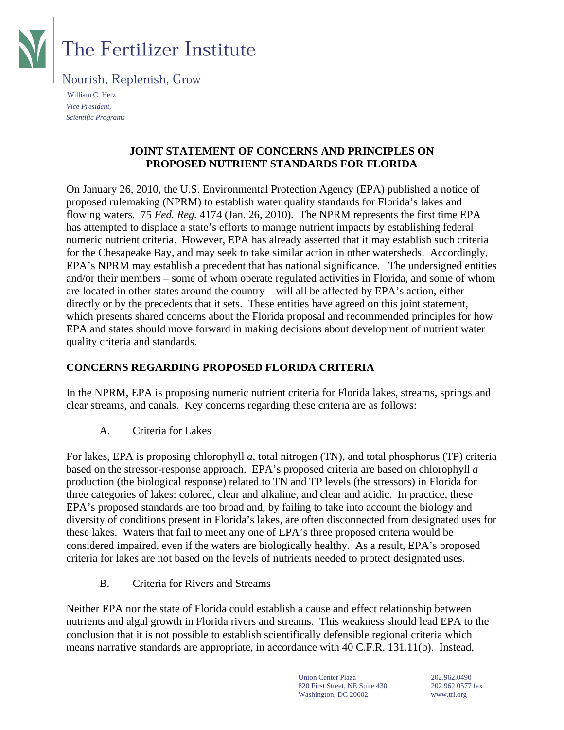

# **The Fertilizer Institute**

Nourish, Replenish, Grow

 William C. Herz *Vice President, Scientific Programs* 

#### **JOINT STATEMENT OF CONCERNS AND PRINCIPLES ON PROPOSED NUTRIENT STANDARDS FOR FLORIDA**

On January 26, 2010, the U.S. Environmental Protection Agency (EPA) published a notice of proposed rulemaking (NPRM) to establish water quality standards for Florida's lakes and flowing waters. 75 *Fed. Reg.* 4174 (Jan. 26, 2010)*.* The NPRM represents the first time EPA has attempted to displace a state's efforts to manage nutrient impacts by establishing federal numeric nutrient criteria. However, EPA has already asserted that it may establish such criteria for the Chesapeake Bay, and may seek to take similar action in other watersheds. Accordingly, EPA's NPRM may establish a precedent that has national significance. The undersigned entities and/or their members – some of whom operate regulated activities in Florida, and some of whom are located in other states around the country – will all be affected by EPA's action, either directly or by the precedents that it sets. These entities have agreed on this joint statement, which presents shared concerns about the Florida proposal and recommended principles for how EPA and states should move forward in making decisions about development of nutrient water quality criteria and standards.

### **CONCERNS REGARDING PROPOSED FLORIDA CRITERIA**

In the NPRM, EPA is proposing numeric nutrient criteria for Florida lakes, streams, springs and clear streams, and canals. Key concerns regarding these criteria are as follows:

A. Criteria for Lakes

For lakes, EPA is proposing chlorophyll *a*, total nitrogen (TN), and total phosphorus (TP) criteria based on the stressor-response approach. EPA's proposed criteria are based on chlorophyll *a* production (the biological response) related to TN and TP levels (the stressors) in Florida for three categories of lakes: colored, clear and alkaline, and clear and acidic. In practice, these EPA's proposed standards are too broad and, by failing to take into account the biology and diversity of conditions present in Florida's lakes, are often disconnected from designated uses for these lakes. Waters that fail to meet any one of EPA's three proposed criteria would be considered impaired, even if the waters are biologically healthy. As a result, EPA's proposed criteria for lakes are not based on the levels of nutrients needed to protect designated uses.

B. Criteria for Rivers and Streams

Neither EPA nor the state of Florida could establish a cause and effect relationship between nutrients and algal growth in Florida rivers and streams. This weakness should lead EPA to the conclusion that it is not possible to establish scientifically defensible regional criteria which means narrative standards are appropriate, in accordance with 40 C.F.R. 131.11(b). Instead,

> Union Center Plaza 202.962.0490 820 First Street, NE Suite 430 202.962.0577 fax Washington, DC 20002 www.tfi.org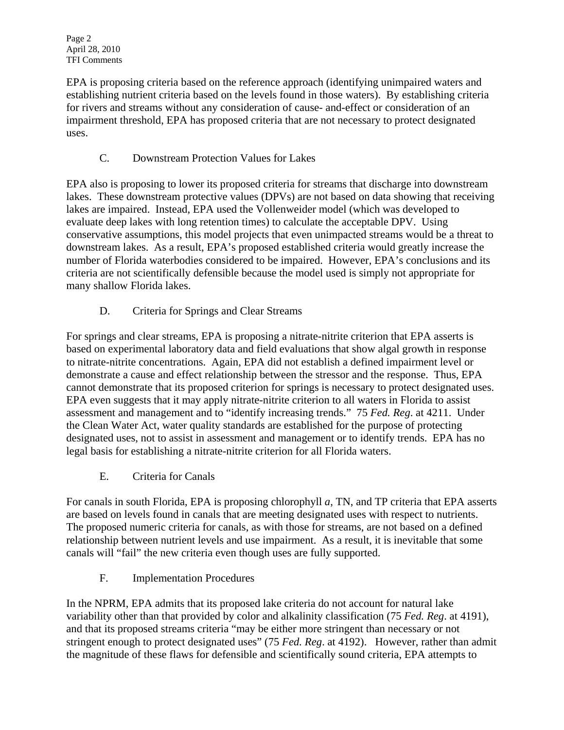EPA is proposing criteria based on the reference approach (identifying unimpaired waters and establishing nutrient criteria based on the levels found in those waters). By establishing criteria for rivers and streams without any consideration of cause- and-effect or consideration of an impairment threshold, EPA has proposed criteria that are not necessary to protect designated uses.

## C. Downstream Protection Values for Lakes

EPA also is proposing to lower its proposed criteria for streams that discharge into downstream lakes. These downstream protective values (DPVs) are not based on data showing that receiving lakes are impaired. Instead, EPA used the Vollenweider model (which was developed to evaluate deep lakes with long retention times) to calculate the acceptable DPV. Using conservative assumptions, this model projects that even unimpacted streams would be a threat to downstream lakes. As a result, EPA's proposed established criteria would greatly increase the number of Florida waterbodies considered to be impaired. However, EPA's conclusions and its criteria are not scientifically defensible because the model used is simply not appropriate for many shallow Florida lakes.

D. Criteria for Springs and Clear Streams

For springs and clear streams, EPA is proposing a nitrate-nitrite criterion that EPA asserts is based on experimental laboratory data and field evaluations that show algal growth in response to nitrate-nitrite concentrations. Again, EPA did not establish a defined impairment level or demonstrate a cause and effect relationship between the stressor and the response. Thus, EPA cannot demonstrate that its proposed criterion for springs is necessary to protect designated uses. EPA even suggests that it may apply nitrate-nitrite criterion to all waters in Florida to assist assessment and management and to "identify increasing trends." 75 *Fed. Reg*. at 4211. Under the Clean Water Act, water quality standards are established for the purpose of protecting designated uses, not to assist in assessment and management or to identify trends. EPA has no legal basis for establishing a nitrate-nitrite criterion for all Florida waters.

E. Criteria for Canals

For canals in south Florida, EPA is proposing chlorophyll *a*, TN, and TP criteria that EPA asserts are based on levels found in canals that are meeting designated uses with respect to nutrients. The proposed numeric criteria for canals, as with those for streams, are not based on a defined relationship between nutrient levels and use impairment. As a result, it is inevitable that some canals will "fail" the new criteria even though uses are fully supported.

F. Implementation Procedures

In the NPRM, EPA admits that its proposed lake criteria do not account for natural lake variability other than that provided by color and alkalinity classification (75 *Fed. Reg*. at 4191), and that its proposed streams criteria "may be either more stringent than necessary or not stringent enough to protect designated uses" (75 *Fed. Reg*. at 4192). However, rather than admit the magnitude of these flaws for defensible and scientifically sound criteria, EPA attempts to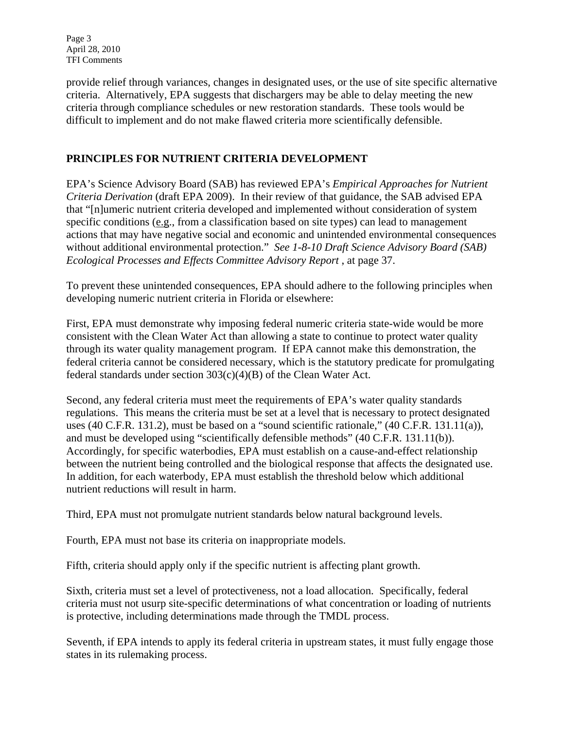Page 3 April 28, 2010 TFI Comments

provide relief through variances, changes in designated uses, or the use of site specific alternative criteria. Alternatively, EPA suggests that dischargers may be able to delay meeting the new criteria through compliance schedules or new restoration standards. These tools would be difficult to implement and do not make flawed criteria more scientifically defensible.

#### **PRINCIPLES FOR NUTRIENT CRITERIA DEVELOPMENT**

EPA's Science Advisory Board (SAB) has reviewed EPA's *Empirical Approaches for Nutrient Criteria Derivation* (draft EPA 2009). In their review of that guidance, the SAB advised EPA that "[n]umeric nutrient criteria developed and implemented without consideration of system specific conditions (e.g., from a classification based on site types) can lead to management actions that may have negative social and economic and unintended environmental consequences without additional environmental protection." *See 1-8-10 Draft Science Advisory Board (SAB) Ecological Processes and Effects Committee Advisory Report* , at page 37.

To prevent these unintended consequences, EPA should adhere to the following principles when developing numeric nutrient criteria in Florida or elsewhere:

First, EPA must demonstrate why imposing federal numeric criteria state-wide would be more consistent with the Clean Water Act than allowing a state to continue to protect water quality through its water quality management program. If EPA cannot make this demonstration, the federal criteria cannot be considered necessary, which is the statutory predicate for promulgating federal standards under section 303(c)(4)(B) of the Clean Water Act.

Second, any federal criteria must meet the requirements of EPA's water quality standards regulations. This means the criteria must be set at a level that is necessary to protect designated uses (40 C.F.R. 131.2), must be based on a "sound scientific rationale," (40 C.F.R. 131.11(a)), and must be developed using "scientifically defensible methods" (40 C.F.R. 131.11(b)). Accordingly, for specific waterbodies, EPA must establish on a cause-and-effect relationship between the nutrient being controlled and the biological response that affects the designated use. In addition, for each waterbody, EPA must establish the threshold below which additional nutrient reductions will result in harm.

Third, EPA must not promulgate nutrient standards below natural background levels.

Fourth, EPA must not base its criteria on inappropriate models.

Fifth, criteria should apply only if the specific nutrient is affecting plant growth.

Sixth, criteria must set a level of protectiveness, not a load allocation. Specifically, federal criteria must not usurp site-specific determinations of what concentration or loading of nutrients is protective, including determinations made through the TMDL process.

Seventh, if EPA intends to apply its federal criteria in upstream states, it must fully engage those states in its rulemaking process.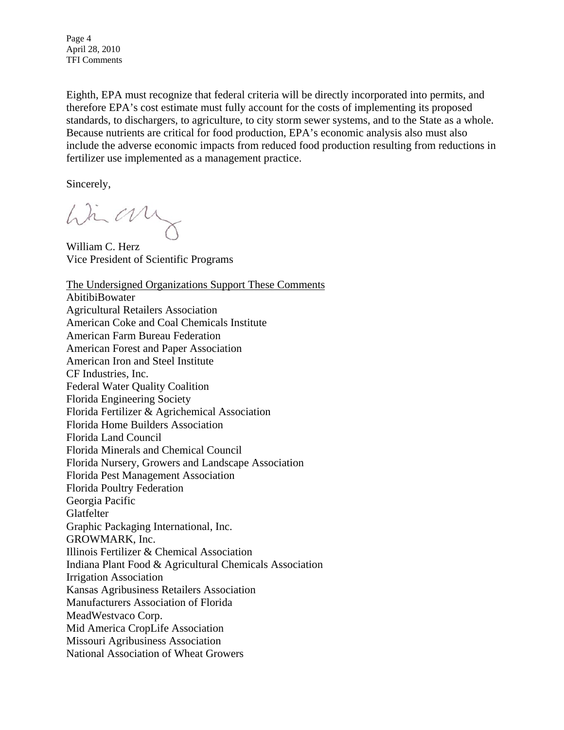Page 4 April 28, 2010 TFI Comments

Eighth, EPA must recognize that federal criteria will be directly incorporated into permits, and therefore EPA's cost estimate must fully account for the costs of implementing its proposed standards, to dischargers, to agriculture, to city storm sewer systems, and to the State as a whole. Because nutrients are critical for food production, EPA's economic analysis also must also include the adverse economic impacts from reduced food production resulting from reductions in fertilizer use implemented as a management practice.

Sincerely,

Win any

William C. Herz Vice President of Scientific Programs

The Undersigned Organizations Support These Comments AbitibiBowater Agricultural Retailers Association American Coke and Coal Chemicals Institute American Farm Bureau Federation American Forest and Paper Association American Iron and Steel Institute CF Industries, Inc. Federal Water Quality Coalition Florida Engineering Society Florida Fertilizer & Agrichemical Association Florida Home Builders Association Florida Land Council Florida Minerals and Chemical Council Florida Nursery, Growers and Landscape Association Florida Pest Management Association Florida Poultry Federation Georgia Pacific **Glatfelter** Graphic Packaging International, Inc. GROWMARK, Inc. Illinois Fertilizer & Chemical Association Indiana Plant Food & Agricultural Chemicals Association Irrigation Association Kansas Agribusiness Retailers Association Manufacturers Association of Florida MeadWestvaco Corp. Mid America CropLife Association Missouri Agribusiness Association National Association of Wheat Growers